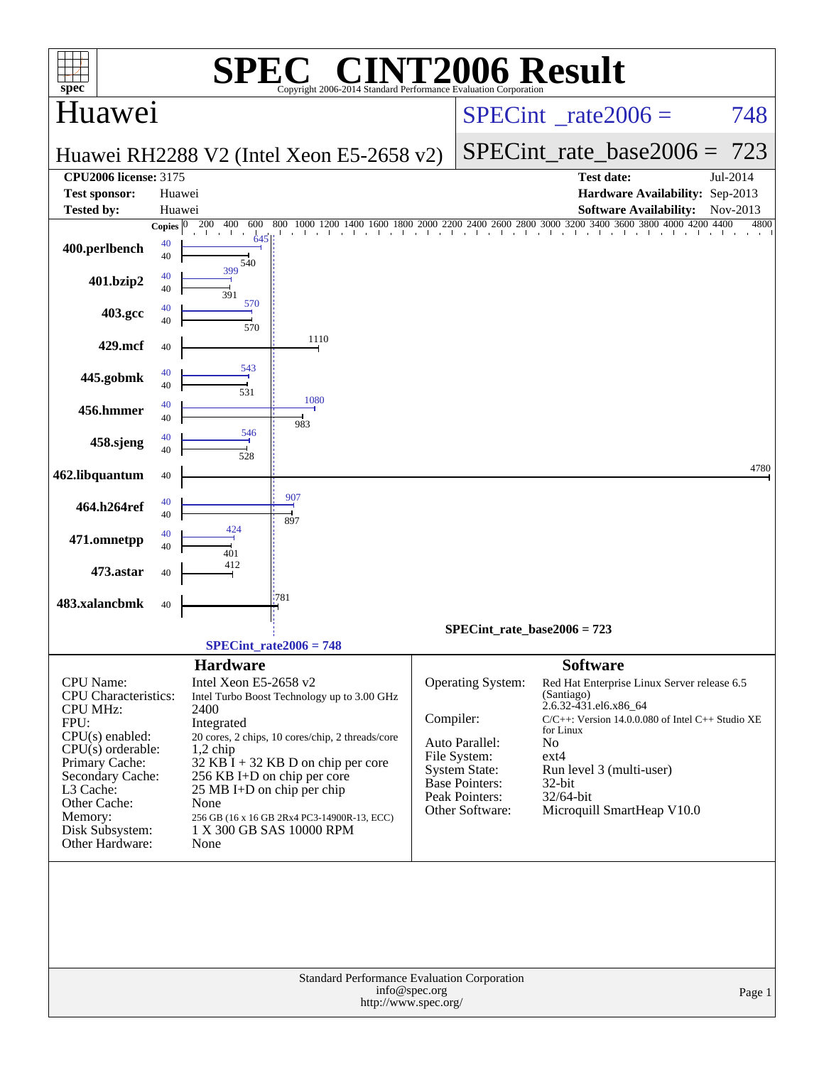| spec                                                                                                                                                                                                                       |                          | SPE)                                                                                                    | <b>C® CINT2006 Result</b><br>Copyright 2006-2014 Standard Performance Evaluation Corporation                                                                                                                                                      |                                       |                                                                                                                                    |                                                                                                                                                                                                                                                                |          |  |
|----------------------------------------------------------------------------------------------------------------------------------------------------------------------------------------------------------------------------|--------------------------|---------------------------------------------------------------------------------------------------------|---------------------------------------------------------------------------------------------------------------------------------------------------------------------------------------------------------------------------------------------------|---------------------------------------|------------------------------------------------------------------------------------------------------------------------------------|----------------------------------------------------------------------------------------------------------------------------------------------------------------------------------------------------------------------------------------------------------------|----------|--|
| Huawei                                                                                                                                                                                                                     |                          |                                                                                                         |                                                                                                                                                                                                                                                   |                                       |                                                                                                                                    | $SPECint^{\circ}$ rate $2006 =$                                                                                                                                                                                                                                | 748      |  |
|                                                                                                                                                                                                                            |                          |                                                                                                         | Huawei RH2288 V2 (Intel Xeon E5-2658 v2)                                                                                                                                                                                                          |                                       |                                                                                                                                    | $SPECint_rate\_base2006 =$                                                                                                                                                                                                                                     | 723      |  |
| <b>CPU2006 license: 3175</b><br><b>Test sponsor:</b>                                                                                                                                                                       | Huawei                   |                                                                                                         |                                                                                                                                                                                                                                                   |                                       |                                                                                                                                    | <b>Test date:</b><br>Hardware Availability: Sep-2013                                                                                                                                                                                                           | Jul-2014 |  |
| <b>Tested by:</b>                                                                                                                                                                                                          | Huawei                   |                                                                                                         |                                                                                                                                                                                                                                                   |                                       |                                                                                                                                    | <b>Software Availability:</b><br>1600 1800 2000 2200 2400 2600 2800 3000 3200 3400 3600 3800 4000 4200 4400                                                                                                                                                    | Nov-2013 |  |
| 400.perlbench                                                                                                                                                                                                              | Copies $ 0 $<br>40<br>40 | 200<br>400<br>600<br>645<br>540                                                                         | 800<br>1000 1200 1400<br>and the control<br><b>Contract</b>                                                                                                                                                                                       |                                       |                                                                                                                                    |                                                                                                                                                                                                                                                                | 4800     |  |
| 401.bzip2                                                                                                                                                                                                                  | 40<br>40                 | 399<br>39                                                                                               |                                                                                                                                                                                                                                                   |                                       |                                                                                                                                    |                                                                                                                                                                                                                                                                |          |  |
| 403.gcc                                                                                                                                                                                                                    | 40<br>40                 | 570<br>570                                                                                              |                                                                                                                                                                                                                                                   |                                       |                                                                                                                                    |                                                                                                                                                                                                                                                                |          |  |
| 429.mcf                                                                                                                                                                                                                    | 40                       |                                                                                                         | 1110                                                                                                                                                                                                                                              |                                       |                                                                                                                                    |                                                                                                                                                                                                                                                                |          |  |
| 445.gobmk                                                                                                                                                                                                                  | 40<br>40                 | 543<br>531                                                                                              |                                                                                                                                                                                                                                                   |                                       |                                                                                                                                    |                                                                                                                                                                                                                                                                |          |  |
| 456.hmmer                                                                                                                                                                                                                  | 40<br>40                 |                                                                                                         | 1080<br>983                                                                                                                                                                                                                                       |                                       |                                                                                                                                    |                                                                                                                                                                                                                                                                |          |  |
| 458.sjeng                                                                                                                                                                                                                  | 40<br>40                 | 546<br>528                                                                                              |                                                                                                                                                                                                                                                   |                                       |                                                                                                                                    |                                                                                                                                                                                                                                                                |          |  |
| 462.libquantum                                                                                                                                                                                                             | 40                       |                                                                                                         |                                                                                                                                                                                                                                                   |                                       |                                                                                                                                    |                                                                                                                                                                                                                                                                | 4780     |  |
| 464.h264ref                                                                                                                                                                                                                | 40<br>40                 |                                                                                                         | 907<br>897                                                                                                                                                                                                                                        |                                       |                                                                                                                                    |                                                                                                                                                                                                                                                                |          |  |
| 471.omnetpp                                                                                                                                                                                                                | 40<br>40                 | 424<br>401                                                                                              |                                                                                                                                                                                                                                                   |                                       |                                                                                                                                    |                                                                                                                                                                                                                                                                |          |  |
| 473.astar                                                                                                                                                                                                                  | 40                       | 412                                                                                                     |                                                                                                                                                                                                                                                   |                                       |                                                                                                                                    |                                                                                                                                                                                                                                                                |          |  |
| 483.xalancbmk                                                                                                                                                                                                              | 40                       |                                                                                                         | '781                                                                                                                                                                                                                                              |                                       |                                                                                                                                    |                                                                                                                                                                                                                                                                |          |  |
|                                                                                                                                                                                                                            |                          |                                                                                                         | $SPECint_rate2006 = 748$                                                                                                                                                                                                                          | $SPECint_rate_base2006 = 723$         |                                                                                                                                    |                                                                                                                                                                                                                                                                |          |  |
|                                                                                                                                                                                                                            |                          | <b>Hardware</b>                                                                                         |                                                                                                                                                                                                                                                   |                                       |                                                                                                                                    | <b>Software</b>                                                                                                                                                                                                                                                |          |  |
| CPU Name:<br>CPU Characteristics:<br><b>CPU MHz:</b><br>FPU:<br>CPU(s) enabled:<br>$CPU(s)$ orderable:<br>Primary Cache:<br>Secondary Cache:<br>L3 Cache:<br>Other Cache:<br>Memory:<br>Disk Subsystem:<br>Other Hardware: |                          | Intel Xeon E5-2658 v2<br>2400<br>Integrated<br>$1,2$ chip<br>25 MB I+D on chip per chip<br>None<br>None | Intel Turbo Boost Technology up to 3.00 GHz<br>20 cores, 2 chips, 10 cores/chip, 2 threads/core<br>$32$ KB I + 32 KB D on chip per core<br>256 KB I+D on chip per core<br>256 GB (16 x 16 GB 2Rx4 PC3-14900R-13, ECC)<br>1 X 300 GB SAS 10000 RPM | Compiler:                             | Operating System:<br>Auto Parallel:<br>File System:<br><b>System State:</b><br>Base Pointers:<br>Peak Pointers:<br>Other Software: | Red Hat Enterprise Linux Server release 6.5<br>(Santiago)<br>2.6.32-431.el6.x86_64<br>C/C++: Version 14.0.0.080 of Intel C++ Studio XE<br>for Linux<br>N <sub>o</sub><br>ext4<br>Run level 3 (multi-user)<br>32-bit<br>32/64-bit<br>Microquill SmartHeap V10.0 |          |  |
|                                                                                                                                                                                                                            |                          |                                                                                                         | <b>Standard Performance Evaluation Corporation</b>                                                                                                                                                                                                | info@spec.org<br>http://www.spec.org/ |                                                                                                                                    |                                                                                                                                                                                                                                                                | Page 1   |  |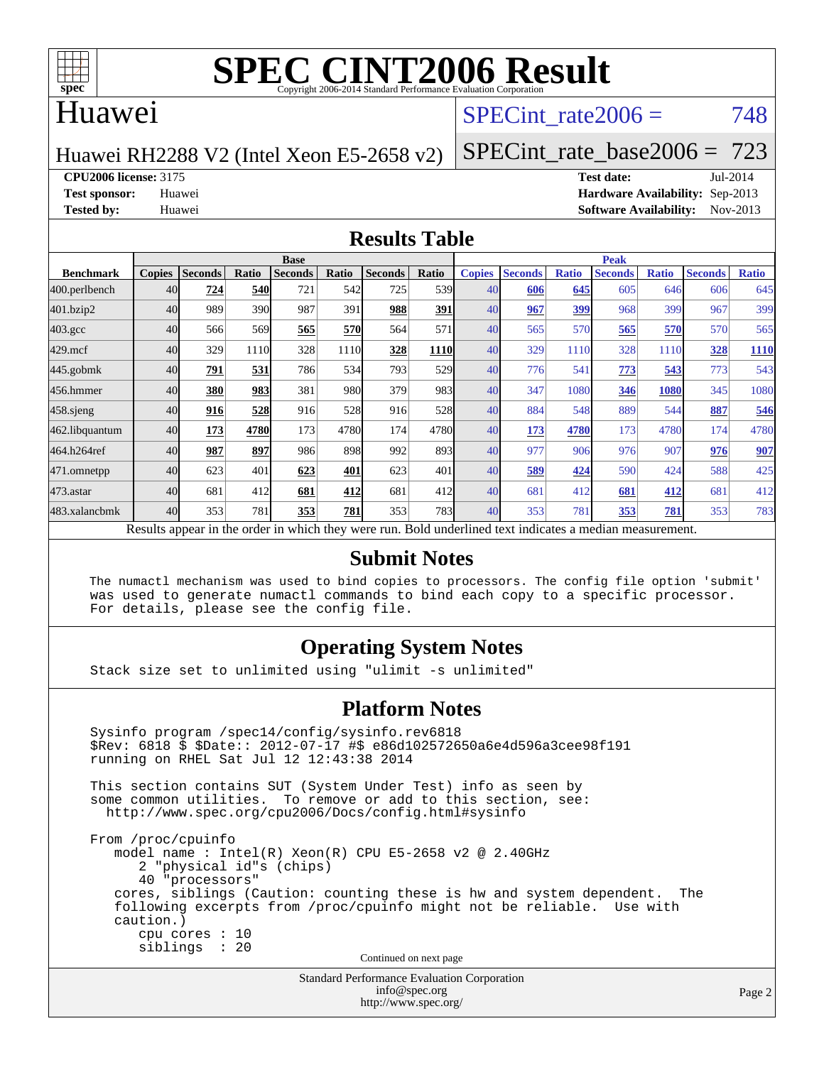

### Huawei

### SPECint rate $2006 = 748$

#### Huawei RH2288 V2 (Intel Xeon E5-2658 v2)

[SPECint\\_rate\\_base2006 =](http://www.spec.org/auto/cpu2006/Docs/result-fields.html#SPECintratebase2006) 723

**[CPU2006 license:](http://www.spec.org/auto/cpu2006/Docs/result-fields.html#CPU2006license)** 3175 **[Test date:](http://www.spec.org/auto/cpu2006/Docs/result-fields.html#Testdate)** Jul-2014

**[Test sponsor:](http://www.spec.org/auto/cpu2006/Docs/result-fields.html#Testsponsor)** Huawei **[Hardware Availability:](http://www.spec.org/auto/cpu2006/Docs/result-fields.html#HardwareAvailability)** Sep-2013 **[Tested by:](http://www.spec.org/auto/cpu2006/Docs/result-fields.html#Testedby)** Huawei **[Software Availability:](http://www.spec.org/auto/cpu2006/Docs/result-fields.html#SoftwareAvailability)** Nov-2013

#### **[Results Table](http://www.spec.org/auto/cpu2006/Docs/result-fields.html#ResultsTable)**

|                                                                                                          | <b>Base</b>   |                |            |                |            |                |                  | <b>Peak</b>   |                |              |                |              |                |              |
|----------------------------------------------------------------------------------------------------------|---------------|----------------|------------|----------------|------------|----------------|------------------|---------------|----------------|--------------|----------------|--------------|----------------|--------------|
| <b>Benchmark</b>                                                                                         | <b>Copies</b> | <b>Seconds</b> | Ratio      | <b>Seconds</b> | Ratio      | <b>Seconds</b> | Ratio            | <b>Copies</b> | <b>Seconds</b> | <b>Ratio</b> | <b>Seconds</b> | <b>Ratio</b> | <b>Seconds</b> | <b>Ratio</b> |
| 400.perlbench                                                                                            | 40            | 724            | <b>540</b> | 721            | 542I       | 725            | 539 <sub>l</sub> | 40            | 606            | 645          | 605            | 646          | 606            | 645          |
| 401.bzip2                                                                                                | 40            | 989            | 390        | 987            | 391        | 988            | <u>391</u>       | 40            | 967            | <u>399</u>   | 968            | 399          | 967            | 399          |
| $403.\mathrm{gcc}$                                                                                       | 40            | 566            | 569        | 565            | <b>570</b> | 564            | 571              | 40            | 565            | 570          | 565            | 570          | 570            | 565          |
| $429$ .mcf                                                                                               | 40            | 329            | 1110       | 328            | 1110       | 328            | 1110             | 40            | 329            | 1110         | 328            | 1110         | 328            | <b>1110</b>  |
| $445$ .gobmk                                                                                             | 40            | 791            | 531        | 786            | 534        | 793            | 529              | 40            | 776            | 541          | 773            | 543          | 773            | 543          |
| 456.hmmer                                                                                                | 40            | 380            | 983        | 381            | 980        | 379            | 983              | 40            | 347            | 1080         | 346            | 1080         | 345            | 1080         |
| $458$ .sjeng                                                                                             | 40            | 916            | 528        | 916            | 528        | 916            | 528              | 40            | 884            | 548          | 889            | 544          | 887            | 546          |
| 462.libquantum                                                                                           | 40            | 173            | 4780       | 173            | 4780       | 174            | 4780             | 40            | 173            | 4780         | 173            | 4780         | 174            | 4780         |
| 464.h264ref                                                                                              | 40            | 987            | 897        | 986            | 898        | 992            | 893              | 40            | 977            | 906          | 976            | 907          | 976            | 907          |
| 471.omnetpp                                                                                              | 40            | 623            | 401        | 623            | 401        | 623            | 401              | 40            | 589            | 424          | 590            | 424          | 588            | 425          |
| $473$ . astar                                                                                            | 40            | 681            | 412        | 681            | 412        | 681            | 412              | 40            | 681            | 412          | 681            | 412          | 681            | 412          |
| 483.xalancbmk                                                                                            | 40            | 353            | 781        | 353            | 781        | 353            | 783              | 40            | 353            | 781          | 353            | 781          | 353            | 783          |
| Results appear in the order in which they were run. Bold underlined text indicates a median measurement. |               |                |            |                |            |                |                  |               |                |              |                |              |                |              |

#### **[Submit Notes](http://www.spec.org/auto/cpu2006/Docs/result-fields.html#SubmitNotes)**

 The numactl mechanism was used to bind copies to processors. The config file option 'submit' was used to generate numactl commands to bind each copy to a specific processor. For details, please see the config file.

#### **[Operating System Notes](http://www.spec.org/auto/cpu2006/Docs/result-fields.html#OperatingSystemNotes)**

Stack size set to unlimited using "ulimit -s unlimited"

#### **[Platform Notes](http://www.spec.org/auto/cpu2006/Docs/result-fields.html#PlatformNotes)**

Standard Performance Evaluation Corporation Sysinfo program /spec14/config/sysinfo.rev6818 \$Rev: 6818 \$ \$Date:: 2012-07-17 #\$ e86d102572650a6e4d596a3cee98f191 running on RHEL Sat Jul 12 12:43:38 2014 This section contains SUT (System Under Test) info as seen by some common utilities. To remove or add to this section, see: <http://www.spec.org/cpu2006/Docs/config.html#sysinfo> From /proc/cpuinfo model name : Intel(R) Xeon(R) CPU E5-2658 v2 @ 2.40GHz 2 "physical id"s (chips) 40 "processors" cores, siblings (Caution: counting these is hw and system dependent. The following excerpts from /proc/cpuinfo might not be reliable. Use with caution.) cpu cores : 10 siblings : 20 Continued on next page

[info@spec.org](mailto:info@spec.org) <http://www.spec.org/>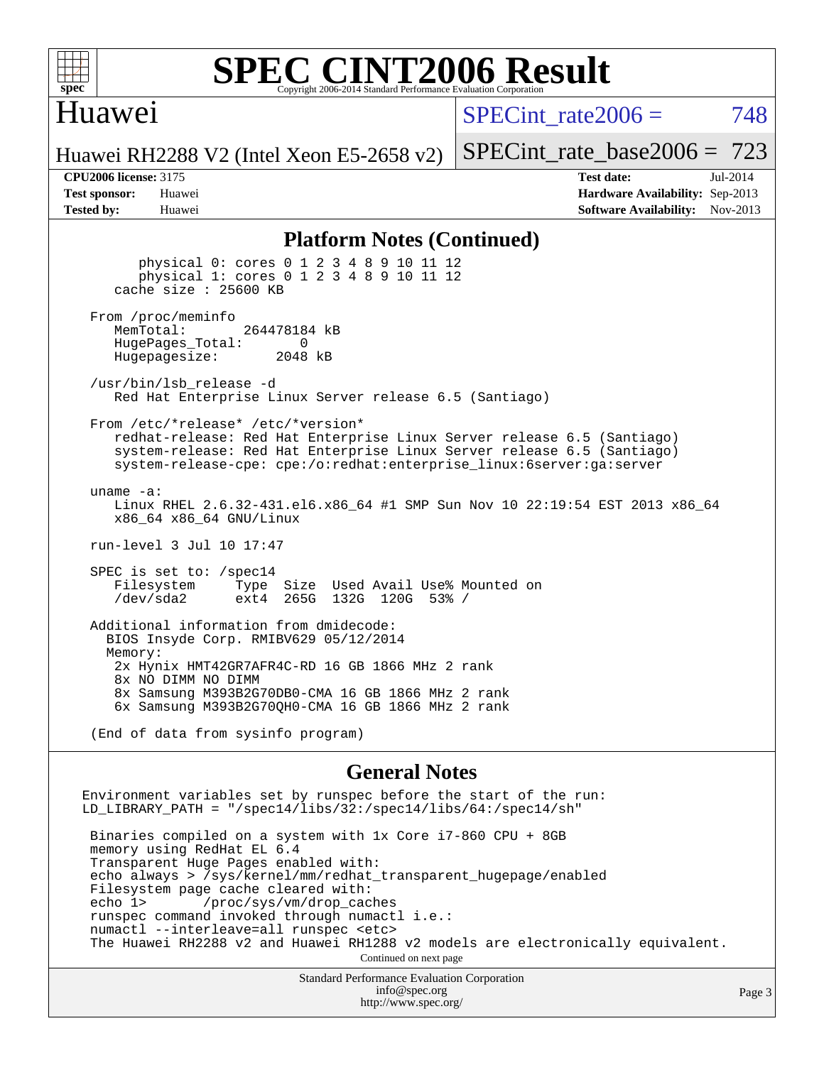

#### **[SPEC CINT2006 Result](http://www.spec.org/auto/cpu2006/Docs/result-fields.html#SPECCINT2006Result)** Copyright 2006-2014 Standard Performance Evaluation C

## Huawei

 $SPECint rate2006 = 748$ 

[SPECint\\_rate\\_base2006 =](http://www.spec.org/auto/cpu2006/Docs/result-fields.html#SPECintratebase2006) 723

Huawei RH2288 V2 (Intel Xeon E5-2658 v2)

**[CPU2006 license:](http://www.spec.org/auto/cpu2006/Docs/result-fields.html#CPU2006license)** 3175 **[Test date:](http://www.spec.org/auto/cpu2006/Docs/result-fields.html#Testdate)** Jul-2014 **[Test sponsor:](http://www.spec.org/auto/cpu2006/Docs/result-fields.html#Testsponsor)** Huawei **[Hardware Availability:](http://www.spec.org/auto/cpu2006/Docs/result-fields.html#HardwareAvailability)** Sep-2013 **[Tested by:](http://www.spec.org/auto/cpu2006/Docs/result-fields.html#Testedby)** Huawei **[Software Availability:](http://www.spec.org/auto/cpu2006/Docs/result-fields.html#SoftwareAvailability)** Nov-2013

#### **[Platform Notes \(Continued\)](http://www.spec.org/auto/cpu2006/Docs/result-fields.html#PlatformNotes)**

 physical 0: cores 0 1 2 3 4 8 9 10 11 12 physical 1: cores 0 1 2 3 4 8 9 10 11 12 cache size : 25600 KB From /proc/meminfo<br>MemTotal: 264478184 kB HugePages\_Total: 0<br>Hugepagesize: 2048 kB Hugepagesize: /usr/bin/lsb\_release -d Red Hat Enterprise Linux Server release 6.5 (Santiago) From /etc/\*release\* /etc/\*version\* redhat-release: Red Hat Enterprise Linux Server release 6.5 (Santiago) system-release: Red Hat Enterprise Linux Server release 6.5 (Santiago) system-release-cpe: cpe:/o:redhat:enterprise\_linux:6server:ga:server uname -a: Linux RHEL 2.6.32-431.el6.x86\_64 #1 SMP Sun Nov 10 22:19:54 EST 2013 x86\_64 x86\_64 x86\_64 GNU/Linux run-level 3 Jul 10 17:47 SPEC is set to: /spec14 Filesystem Type Size Used Avail Use% Mounted on<br>
/dev/sda2 ext4 265G 132G 120G 53% / /dev/sda2 ext4 265G 132G 120G 53% / Additional information from dmidecode: BIOS Insyde Corp. RMIBV629 05/12/2014 Memory: 2x Hynix HMT42GR7AFR4C-RD 16 GB 1866 MHz 2 rank 8x NO DIMM NO DIMM 8x Samsung M393B2G70DB0-CMA 16 GB 1866 MHz 2 rank 6x Samsung M393B2G70QH0-CMA 16 GB 1866 MHz 2 rank

(End of data from sysinfo program)

#### **[General Notes](http://www.spec.org/auto/cpu2006/Docs/result-fields.html#GeneralNotes)**

Environment variables set by runspec before the start of the run: LD LIBRARY PATH = "/spec14/libs/32:/spec14/libs/64:/spec14/sh" Binaries compiled on a system with 1x Core i7-860 CPU + 8GB memory using RedHat EL 6.4 Transparent Huge Pages enabled with: echo always > /sys/kernel/mm/redhat\_transparent\_hugepage/enabled Filesystem page cache cleared with: echo 1> /proc/sys/vm/drop\_caches runspec command invoked through numactl i.e.: numactl --interleave=all runspec <etc> The Huawei RH2288 v2 and Huawei RH1288 v2 models are electronically equivalent. Continued on next page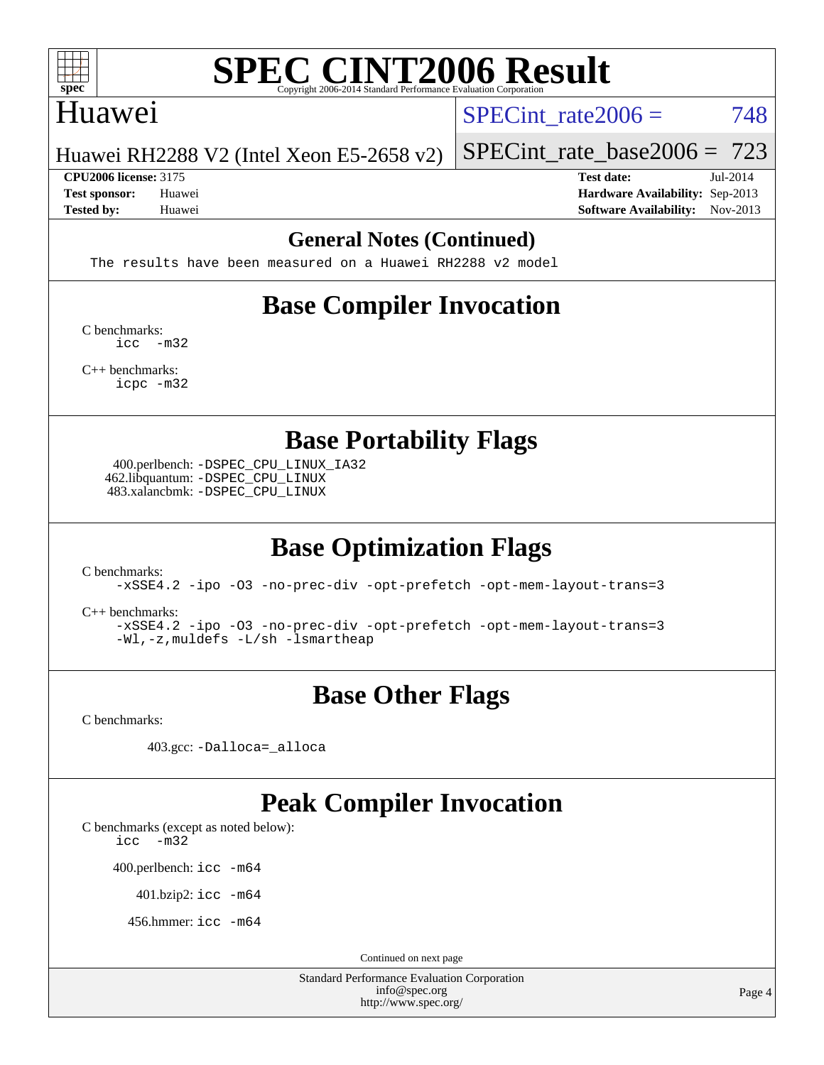

### Huawei

SPECint rate $2006 = 748$ 

Huawei RH2288 V2 (Intel Xeon E5-2658 v2)

[SPECint\\_rate\\_base2006 =](http://www.spec.org/auto/cpu2006/Docs/result-fields.html#SPECintratebase2006) 723 **[CPU2006 license:](http://www.spec.org/auto/cpu2006/Docs/result-fields.html#CPU2006license)** 3175 **[Test date:](http://www.spec.org/auto/cpu2006/Docs/result-fields.html#Testdate)** Jul-2014

**[Test sponsor:](http://www.spec.org/auto/cpu2006/Docs/result-fields.html#Testsponsor)** Huawei **[Hardware Availability:](http://www.spec.org/auto/cpu2006/Docs/result-fields.html#HardwareAvailability)** Sep-2013 **[Tested by:](http://www.spec.org/auto/cpu2006/Docs/result-fields.html#Testedby)** Huawei **[Software Availability:](http://www.spec.org/auto/cpu2006/Docs/result-fields.html#SoftwareAvailability)** Nov-2013

#### **[General Notes \(Continued\)](http://www.spec.org/auto/cpu2006/Docs/result-fields.html#GeneralNotes)**

The results have been measured on a Huawei RH2288 v2 model

# **[Base Compiler Invocation](http://www.spec.org/auto/cpu2006/Docs/result-fields.html#BaseCompilerInvocation)**

[C benchmarks](http://www.spec.org/auto/cpu2006/Docs/result-fields.html#Cbenchmarks): [icc -m32](http://www.spec.org/cpu2006/results/res2014q3/cpu2006-20140715-30423.flags.html#user_CCbase_intel_icc_5ff4a39e364c98233615fdd38438c6f2)

[C++ benchmarks:](http://www.spec.org/auto/cpu2006/Docs/result-fields.html#CXXbenchmarks) [icpc -m32](http://www.spec.org/cpu2006/results/res2014q3/cpu2006-20140715-30423.flags.html#user_CXXbase_intel_icpc_4e5a5ef1a53fd332b3c49e69c3330699)

**[Base Portability Flags](http://www.spec.org/auto/cpu2006/Docs/result-fields.html#BasePortabilityFlags)**

 400.perlbench: [-DSPEC\\_CPU\\_LINUX\\_IA32](http://www.spec.org/cpu2006/results/res2014q3/cpu2006-20140715-30423.flags.html#b400.perlbench_baseCPORTABILITY_DSPEC_CPU_LINUX_IA32) 462.libquantum: [-DSPEC\\_CPU\\_LINUX](http://www.spec.org/cpu2006/results/res2014q3/cpu2006-20140715-30423.flags.html#b462.libquantum_baseCPORTABILITY_DSPEC_CPU_LINUX) 483.xalancbmk: [-DSPEC\\_CPU\\_LINUX](http://www.spec.org/cpu2006/results/res2014q3/cpu2006-20140715-30423.flags.html#b483.xalancbmk_baseCXXPORTABILITY_DSPEC_CPU_LINUX)

# **[Base Optimization Flags](http://www.spec.org/auto/cpu2006/Docs/result-fields.html#BaseOptimizationFlags)**

[C benchmarks](http://www.spec.org/auto/cpu2006/Docs/result-fields.html#Cbenchmarks):

[-xSSE4.2](http://www.spec.org/cpu2006/results/res2014q3/cpu2006-20140715-30423.flags.html#user_CCbase_f-xSSE42_f91528193cf0b216347adb8b939d4107) [-ipo](http://www.spec.org/cpu2006/results/res2014q3/cpu2006-20140715-30423.flags.html#user_CCbase_f-ipo) [-O3](http://www.spec.org/cpu2006/results/res2014q3/cpu2006-20140715-30423.flags.html#user_CCbase_f-O3) [-no-prec-div](http://www.spec.org/cpu2006/results/res2014q3/cpu2006-20140715-30423.flags.html#user_CCbase_f-no-prec-div) [-opt-prefetch](http://www.spec.org/cpu2006/results/res2014q3/cpu2006-20140715-30423.flags.html#user_CCbase_f-opt-prefetch) [-opt-mem-layout-trans=3](http://www.spec.org/cpu2006/results/res2014q3/cpu2006-20140715-30423.flags.html#user_CCbase_f-opt-mem-layout-trans_a7b82ad4bd7abf52556d4961a2ae94d5)

[C++ benchmarks:](http://www.spec.org/auto/cpu2006/Docs/result-fields.html#CXXbenchmarks)

[-xSSE4.2](http://www.spec.org/cpu2006/results/res2014q3/cpu2006-20140715-30423.flags.html#user_CXXbase_f-xSSE42_f91528193cf0b216347adb8b939d4107) [-ipo](http://www.spec.org/cpu2006/results/res2014q3/cpu2006-20140715-30423.flags.html#user_CXXbase_f-ipo) [-O3](http://www.spec.org/cpu2006/results/res2014q3/cpu2006-20140715-30423.flags.html#user_CXXbase_f-O3) [-no-prec-div](http://www.spec.org/cpu2006/results/res2014q3/cpu2006-20140715-30423.flags.html#user_CXXbase_f-no-prec-div) [-opt-prefetch](http://www.spec.org/cpu2006/results/res2014q3/cpu2006-20140715-30423.flags.html#user_CXXbase_f-opt-prefetch) [-opt-mem-layout-trans=3](http://www.spec.org/cpu2006/results/res2014q3/cpu2006-20140715-30423.flags.html#user_CXXbase_f-opt-mem-layout-trans_a7b82ad4bd7abf52556d4961a2ae94d5) [-Wl,-z,muldefs](http://www.spec.org/cpu2006/results/res2014q3/cpu2006-20140715-30423.flags.html#user_CXXbase_link_force_multiple1_74079c344b956b9658436fd1b6dd3a8a) [-L/sh -lsmartheap](http://www.spec.org/cpu2006/results/res2014q3/cpu2006-20140715-30423.flags.html#user_CXXbase_SmartHeap_32f6c82aa1ed9c52345d30cf6e4a0499)

# **[Base Other Flags](http://www.spec.org/auto/cpu2006/Docs/result-fields.html#BaseOtherFlags)**

[C benchmarks](http://www.spec.org/auto/cpu2006/Docs/result-fields.html#Cbenchmarks):

403.gcc: [-Dalloca=\\_alloca](http://www.spec.org/cpu2006/results/res2014q3/cpu2006-20140715-30423.flags.html#b403.gcc_baseEXTRA_CFLAGS_Dalloca_be3056838c12de2578596ca5467af7f3)

## **[Peak Compiler Invocation](http://www.spec.org/auto/cpu2006/Docs/result-fields.html#PeakCompilerInvocation)**

[C benchmarks \(except as noted below\)](http://www.spec.org/auto/cpu2006/Docs/result-fields.html#Cbenchmarksexceptasnotedbelow):

[icc -m32](http://www.spec.org/cpu2006/results/res2014q3/cpu2006-20140715-30423.flags.html#user_CCpeak_intel_icc_5ff4a39e364c98233615fdd38438c6f2)

400.perlbench: [icc -m64](http://www.spec.org/cpu2006/results/res2014q3/cpu2006-20140715-30423.flags.html#user_peakCCLD400_perlbench_intel_icc_64bit_bda6cc9af1fdbb0edc3795bac97ada53)

401.bzip2: [icc -m64](http://www.spec.org/cpu2006/results/res2014q3/cpu2006-20140715-30423.flags.html#user_peakCCLD401_bzip2_intel_icc_64bit_bda6cc9af1fdbb0edc3795bac97ada53)

456.hmmer: [icc -m64](http://www.spec.org/cpu2006/results/res2014q3/cpu2006-20140715-30423.flags.html#user_peakCCLD456_hmmer_intel_icc_64bit_bda6cc9af1fdbb0edc3795bac97ada53)

Continued on next page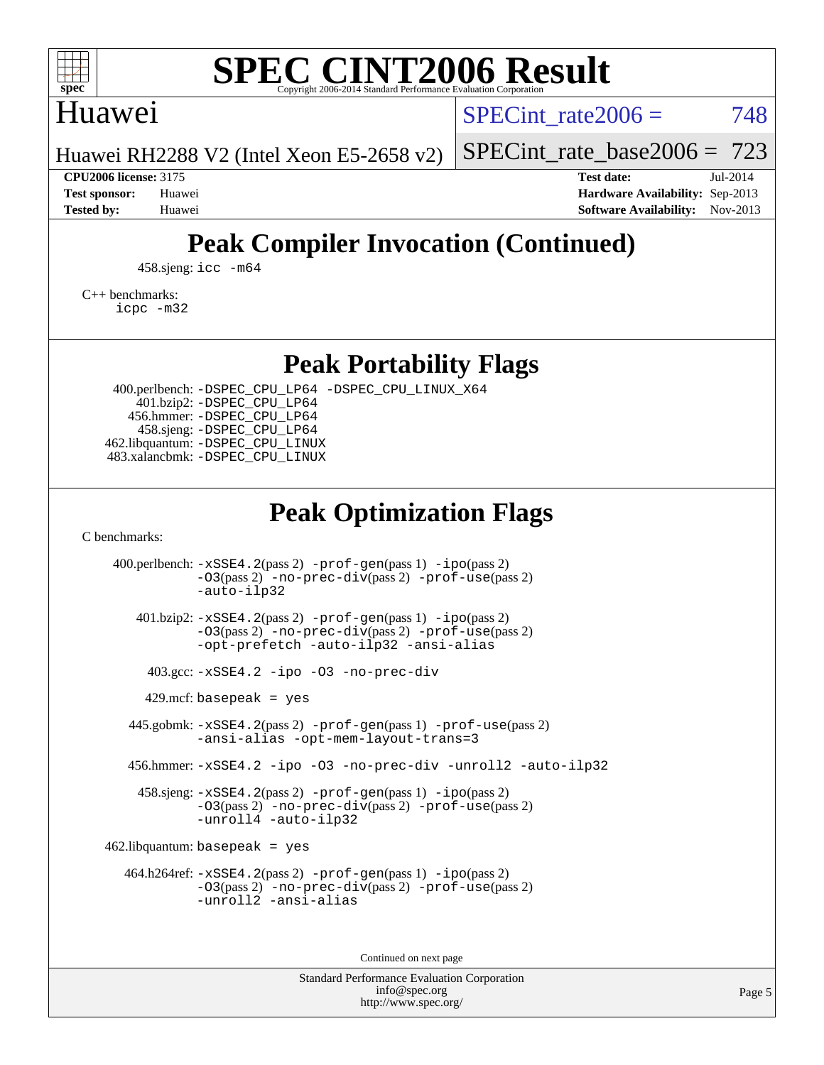

## Huawei

SPECint rate $2006 = 748$ 

Huawei RH2288 V2 (Intel Xeon E5-2658 v2)

[SPECint\\_rate\\_base2006 =](http://www.spec.org/auto/cpu2006/Docs/result-fields.html#SPECintratebase2006) 723

**[CPU2006 license:](http://www.spec.org/auto/cpu2006/Docs/result-fields.html#CPU2006license)** 3175 **[Test date:](http://www.spec.org/auto/cpu2006/Docs/result-fields.html#Testdate)** Jul-2014

**[Test sponsor:](http://www.spec.org/auto/cpu2006/Docs/result-fields.html#Testsponsor)** Huawei **[Hardware Availability:](http://www.spec.org/auto/cpu2006/Docs/result-fields.html#HardwareAvailability)** Sep-2013 **[Tested by:](http://www.spec.org/auto/cpu2006/Docs/result-fields.html#Testedby)** Huawei **[Software Availability:](http://www.spec.org/auto/cpu2006/Docs/result-fields.html#SoftwareAvailability)** Nov-2013

# **[Peak Compiler Invocation \(Continued\)](http://www.spec.org/auto/cpu2006/Docs/result-fields.html#PeakCompilerInvocation)**

458.sjeng: [icc -m64](http://www.spec.org/cpu2006/results/res2014q3/cpu2006-20140715-30423.flags.html#user_peakCCLD458_sjeng_intel_icc_64bit_bda6cc9af1fdbb0edc3795bac97ada53)

[C++ benchmarks:](http://www.spec.org/auto/cpu2006/Docs/result-fields.html#CXXbenchmarks) [icpc -m32](http://www.spec.org/cpu2006/results/res2014q3/cpu2006-20140715-30423.flags.html#user_CXXpeak_intel_icpc_4e5a5ef1a53fd332b3c49e69c3330699)

**[Peak Portability Flags](http://www.spec.org/auto/cpu2006/Docs/result-fields.html#PeakPortabilityFlags)**

 400.perlbench: [-DSPEC\\_CPU\\_LP64](http://www.spec.org/cpu2006/results/res2014q3/cpu2006-20140715-30423.flags.html#b400.perlbench_peakCPORTABILITY_DSPEC_CPU_LP64) [-DSPEC\\_CPU\\_LINUX\\_X64](http://www.spec.org/cpu2006/results/res2014q3/cpu2006-20140715-30423.flags.html#b400.perlbench_peakCPORTABILITY_DSPEC_CPU_LINUX_X64) 401.bzip2: [-DSPEC\\_CPU\\_LP64](http://www.spec.org/cpu2006/results/res2014q3/cpu2006-20140715-30423.flags.html#suite_peakCPORTABILITY401_bzip2_DSPEC_CPU_LP64) 456.hmmer: [-DSPEC\\_CPU\\_LP64](http://www.spec.org/cpu2006/results/res2014q3/cpu2006-20140715-30423.flags.html#suite_peakCPORTABILITY456_hmmer_DSPEC_CPU_LP64) 458.sjeng: [-DSPEC\\_CPU\\_LP64](http://www.spec.org/cpu2006/results/res2014q3/cpu2006-20140715-30423.flags.html#suite_peakCPORTABILITY458_sjeng_DSPEC_CPU_LP64) 462.libquantum: [-DSPEC\\_CPU\\_LINUX](http://www.spec.org/cpu2006/results/res2014q3/cpu2006-20140715-30423.flags.html#b462.libquantum_peakCPORTABILITY_DSPEC_CPU_LINUX) 483.xalancbmk: [-DSPEC\\_CPU\\_LINUX](http://www.spec.org/cpu2006/results/res2014q3/cpu2006-20140715-30423.flags.html#b483.xalancbmk_peakCXXPORTABILITY_DSPEC_CPU_LINUX)

# **[Peak Optimization Flags](http://www.spec.org/auto/cpu2006/Docs/result-fields.html#PeakOptimizationFlags)**

[C benchmarks](http://www.spec.org/auto/cpu2006/Docs/result-fields.html#Cbenchmarks):

 400.perlbench: [-xSSE4.2](http://www.spec.org/cpu2006/results/res2014q3/cpu2006-20140715-30423.flags.html#user_peakPASS2_CFLAGSPASS2_LDCFLAGS400_perlbench_f-xSSE42_f91528193cf0b216347adb8b939d4107)(pass 2) [-prof-gen](http://www.spec.org/cpu2006/results/res2014q3/cpu2006-20140715-30423.flags.html#user_peakPASS1_CFLAGSPASS1_LDCFLAGS400_perlbench_prof_gen_e43856698f6ca7b7e442dfd80e94a8fc)(pass 1) [-ipo](http://www.spec.org/cpu2006/results/res2014q3/cpu2006-20140715-30423.flags.html#user_peakPASS2_CFLAGSPASS2_LDCFLAGS400_perlbench_f-ipo)(pass 2) [-O3](http://www.spec.org/cpu2006/results/res2014q3/cpu2006-20140715-30423.flags.html#user_peakPASS2_CFLAGSPASS2_LDCFLAGS400_perlbench_f-O3)(pass 2) [-no-prec-div](http://www.spec.org/cpu2006/results/res2014q3/cpu2006-20140715-30423.flags.html#user_peakPASS2_CFLAGSPASS2_LDCFLAGS400_perlbench_f-no-prec-div)(pass 2) [-prof-use](http://www.spec.org/cpu2006/results/res2014q3/cpu2006-20140715-30423.flags.html#user_peakPASS2_CFLAGSPASS2_LDCFLAGS400_perlbench_prof_use_bccf7792157ff70d64e32fe3e1250b55)(pass 2) [-auto-ilp32](http://www.spec.org/cpu2006/results/res2014q3/cpu2006-20140715-30423.flags.html#user_peakCOPTIMIZE400_perlbench_f-auto-ilp32) 401.bzip2: [-xSSE4.2](http://www.spec.org/cpu2006/results/res2014q3/cpu2006-20140715-30423.flags.html#user_peakPASS2_CFLAGSPASS2_LDCFLAGS401_bzip2_f-xSSE42_f91528193cf0b216347adb8b939d4107)(pass 2) [-prof-gen](http://www.spec.org/cpu2006/results/res2014q3/cpu2006-20140715-30423.flags.html#user_peakPASS1_CFLAGSPASS1_LDCFLAGS401_bzip2_prof_gen_e43856698f6ca7b7e442dfd80e94a8fc)(pass 1) [-ipo](http://www.spec.org/cpu2006/results/res2014q3/cpu2006-20140715-30423.flags.html#user_peakPASS2_CFLAGSPASS2_LDCFLAGS401_bzip2_f-ipo)(pass 2) [-O3](http://www.spec.org/cpu2006/results/res2014q3/cpu2006-20140715-30423.flags.html#user_peakPASS2_CFLAGSPASS2_LDCFLAGS401_bzip2_f-O3)(pass 2) [-no-prec-div](http://www.spec.org/cpu2006/results/res2014q3/cpu2006-20140715-30423.flags.html#user_peakPASS2_CFLAGSPASS2_LDCFLAGS401_bzip2_f-no-prec-div)(pass 2) [-prof-use](http://www.spec.org/cpu2006/results/res2014q3/cpu2006-20140715-30423.flags.html#user_peakPASS2_CFLAGSPASS2_LDCFLAGS401_bzip2_prof_use_bccf7792157ff70d64e32fe3e1250b55)(pass 2) [-opt-prefetch](http://www.spec.org/cpu2006/results/res2014q3/cpu2006-20140715-30423.flags.html#user_peakCOPTIMIZE401_bzip2_f-opt-prefetch) [-auto-ilp32](http://www.spec.org/cpu2006/results/res2014q3/cpu2006-20140715-30423.flags.html#user_peakCOPTIMIZE401_bzip2_f-auto-ilp32) [-ansi-alias](http://www.spec.org/cpu2006/results/res2014q3/cpu2006-20140715-30423.flags.html#user_peakCOPTIMIZE401_bzip2_f-ansi-alias) 403.gcc: [-xSSE4.2](http://www.spec.org/cpu2006/results/res2014q3/cpu2006-20140715-30423.flags.html#user_peakCOPTIMIZE403_gcc_f-xSSE42_f91528193cf0b216347adb8b939d4107) [-ipo](http://www.spec.org/cpu2006/results/res2014q3/cpu2006-20140715-30423.flags.html#user_peakCOPTIMIZE403_gcc_f-ipo) [-O3](http://www.spec.org/cpu2006/results/res2014q3/cpu2006-20140715-30423.flags.html#user_peakCOPTIMIZE403_gcc_f-O3) [-no-prec-div](http://www.spec.org/cpu2006/results/res2014q3/cpu2006-20140715-30423.flags.html#user_peakCOPTIMIZE403_gcc_f-no-prec-div)  $429$ .mcf: basepeak = yes 445.gobmk: [-xSSE4.2](http://www.spec.org/cpu2006/results/res2014q3/cpu2006-20140715-30423.flags.html#user_peakPASS2_CFLAGSPASS2_LDCFLAGS445_gobmk_f-xSSE42_f91528193cf0b216347adb8b939d4107)(pass 2) [-prof-gen](http://www.spec.org/cpu2006/results/res2014q3/cpu2006-20140715-30423.flags.html#user_peakPASS1_CFLAGSPASS1_LDCFLAGS445_gobmk_prof_gen_e43856698f6ca7b7e442dfd80e94a8fc)(pass 1) [-prof-use](http://www.spec.org/cpu2006/results/res2014q3/cpu2006-20140715-30423.flags.html#user_peakPASS2_CFLAGSPASS2_LDCFLAGS445_gobmk_prof_use_bccf7792157ff70d64e32fe3e1250b55)(pass 2) [-ansi-alias](http://www.spec.org/cpu2006/results/res2014q3/cpu2006-20140715-30423.flags.html#user_peakCOPTIMIZE445_gobmk_f-ansi-alias) [-opt-mem-layout-trans=3](http://www.spec.org/cpu2006/results/res2014q3/cpu2006-20140715-30423.flags.html#user_peakCOPTIMIZE445_gobmk_f-opt-mem-layout-trans_a7b82ad4bd7abf52556d4961a2ae94d5) 456.hmmer: [-xSSE4.2](http://www.spec.org/cpu2006/results/res2014q3/cpu2006-20140715-30423.flags.html#user_peakCOPTIMIZE456_hmmer_f-xSSE42_f91528193cf0b216347adb8b939d4107) [-ipo](http://www.spec.org/cpu2006/results/res2014q3/cpu2006-20140715-30423.flags.html#user_peakCOPTIMIZE456_hmmer_f-ipo) [-O3](http://www.spec.org/cpu2006/results/res2014q3/cpu2006-20140715-30423.flags.html#user_peakCOPTIMIZE456_hmmer_f-O3) [-no-prec-div](http://www.spec.org/cpu2006/results/res2014q3/cpu2006-20140715-30423.flags.html#user_peakCOPTIMIZE456_hmmer_f-no-prec-div) [-unroll2](http://www.spec.org/cpu2006/results/res2014q3/cpu2006-20140715-30423.flags.html#user_peakCOPTIMIZE456_hmmer_f-unroll_784dae83bebfb236979b41d2422d7ec2) [-auto-ilp32](http://www.spec.org/cpu2006/results/res2014q3/cpu2006-20140715-30423.flags.html#user_peakCOPTIMIZE456_hmmer_f-auto-ilp32) 458.sjeng: [-xSSE4.2](http://www.spec.org/cpu2006/results/res2014q3/cpu2006-20140715-30423.flags.html#user_peakPASS2_CFLAGSPASS2_LDCFLAGS458_sjeng_f-xSSE42_f91528193cf0b216347adb8b939d4107)(pass 2) [-prof-gen](http://www.spec.org/cpu2006/results/res2014q3/cpu2006-20140715-30423.flags.html#user_peakPASS1_CFLAGSPASS1_LDCFLAGS458_sjeng_prof_gen_e43856698f6ca7b7e442dfd80e94a8fc)(pass 1) [-ipo](http://www.spec.org/cpu2006/results/res2014q3/cpu2006-20140715-30423.flags.html#user_peakPASS2_CFLAGSPASS2_LDCFLAGS458_sjeng_f-ipo)(pass 2) [-O3](http://www.spec.org/cpu2006/results/res2014q3/cpu2006-20140715-30423.flags.html#user_peakPASS2_CFLAGSPASS2_LDCFLAGS458_sjeng_f-O3)(pass 2) [-no-prec-div](http://www.spec.org/cpu2006/results/res2014q3/cpu2006-20140715-30423.flags.html#user_peakPASS2_CFLAGSPASS2_LDCFLAGS458_sjeng_f-no-prec-div)(pass 2) [-prof-use](http://www.spec.org/cpu2006/results/res2014q3/cpu2006-20140715-30423.flags.html#user_peakPASS2_CFLAGSPASS2_LDCFLAGS458_sjeng_prof_use_bccf7792157ff70d64e32fe3e1250b55)(pass 2) [-unroll4](http://www.spec.org/cpu2006/results/res2014q3/cpu2006-20140715-30423.flags.html#user_peakCOPTIMIZE458_sjeng_f-unroll_4e5e4ed65b7fd20bdcd365bec371b81f) [-auto-ilp32](http://www.spec.org/cpu2006/results/res2014q3/cpu2006-20140715-30423.flags.html#user_peakCOPTIMIZE458_sjeng_f-auto-ilp32)  $462$ .libquantum: basepeak = yes 464.h264ref: [-xSSE4.2](http://www.spec.org/cpu2006/results/res2014q3/cpu2006-20140715-30423.flags.html#user_peakPASS2_CFLAGSPASS2_LDCFLAGS464_h264ref_f-xSSE42_f91528193cf0b216347adb8b939d4107)(pass 2) [-prof-gen](http://www.spec.org/cpu2006/results/res2014q3/cpu2006-20140715-30423.flags.html#user_peakPASS1_CFLAGSPASS1_LDCFLAGS464_h264ref_prof_gen_e43856698f6ca7b7e442dfd80e94a8fc)(pass 1) [-ipo](http://www.spec.org/cpu2006/results/res2014q3/cpu2006-20140715-30423.flags.html#user_peakPASS2_CFLAGSPASS2_LDCFLAGS464_h264ref_f-ipo)(pass 2) [-O3](http://www.spec.org/cpu2006/results/res2014q3/cpu2006-20140715-30423.flags.html#user_peakPASS2_CFLAGSPASS2_LDCFLAGS464_h264ref_f-O3)(pass 2) [-no-prec-div](http://www.spec.org/cpu2006/results/res2014q3/cpu2006-20140715-30423.flags.html#user_peakPASS2_CFLAGSPASS2_LDCFLAGS464_h264ref_f-no-prec-div)(pass 2) [-prof-use](http://www.spec.org/cpu2006/results/res2014q3/cpu2006-20140715-30423.flags.html#user_peakPASS2_CFLAGSPASS2_LDCFLAGS464_h264ref_prof_use_bccf7792157ff70d64e32fe3e1250b55)(pass 2) [-unroll2](http://www.spec.org/cpu2006/results/res2014q3/cpu2006-20140715-30423.flags.html#user_peakCOPTIMIZE464_h264ref_f-unroll_784dae83bebfb236979b41d2422d7ec2) [-ansi-alias](http://www.spec.org/cpu2006/results/res2014q3/cpu2006-20140715-30423.flags.html#user_peakCOPTIMIZE464_h264ref_f-ansi-alias)

Continued on next page